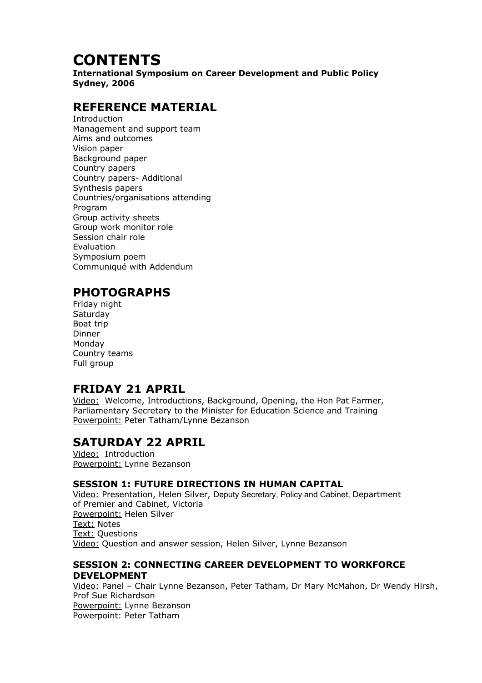# **CONTENTS**

**International Symposium on Career Development and Public Policy Sydney, 2006**

# **REFERENCE MATERIAL**

Introduction Management and support team Aims and outcomes Vision paper Background paper Country papers Country papers- Additional Synthesis papers Countries/organisations attending Program Group activity sheets Group work monitor role Session chair role Evaluation Symposium poem Communiqué with Addendum

# **PHOTOGRAPHS**

Friday night **Saturday** Boat trip Dinner Monday Country teams Full group

## **FRIDAY 21 APRIL**

Video: Welcome, Introductions, Background, Opening, the Hon Pat Farmer, Parliamentary Secretary to the Minister for Education Science and Training Powerpoint: Peter Tatham/Lynne Bezanson

## **SATURDAY 22 APRIL**

Video: Introduction Powerpoint: Lynne Bezanson

### **SESSION 1: FUTURE DIRECTIONS IN HUMAN CAPITAL**

Video: Presentation, Helen Silver, Deputy Secretary, Policy and Cabinet, Department of Premier and Cabinet, Victoria Powerpoint: Helen Silver Text: Notes Text: Questions Video: Question and answer session, Helen Silver, Lynne Bezanson

### **SESSION 2: CONNECTING CAREER DEVELOPMENT TO WORKFORCE DEVELOPMENT**

Video: Panel – Chair Lynne Bezanson, Peter Tatham, Dr Mary McMahon, Dr Wendy Hirsh, Prof Sue Richardson Powerpoint: Lynne Bezanson Powerpoint: Peter Tatham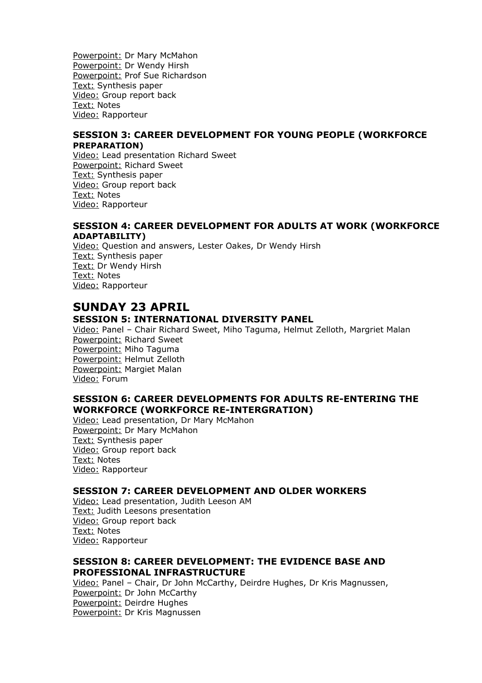Powerpoint: Dr Mary McMahon Powerpoint: Dr Wendy Hirsh Powerpoint: Prof Sue Richardson Text: Synthesis paper Video: Group report back Text: Notes Video: Rapporteur

#### **SESSION 3: CAREER DEVELOPMENT FOR YOUNG PEOPLE (WORKFORCE PREPARATION)**

Video: Lead presentation Richard Sweet Powerpoint: Richard Sweet Text: Synthesis paper Video: Group report back Text: Notes Video: Rapporteur

#### **SESSION 4: CAREER DEVELOPMENT FOR ADULTS AT WORK (WORKFORCE ADAPTABILITY)**

Video: Question and answers, Lester Oakes, Dr Wendy Hirsh Text: Synthesis paper Text: Dr Wendy Hirsh Text: Notes Video: Rapporteur

### **SUNDAY 23 APRIL**

### **SESSION 5: INTERNATIONAL DIVERSITY PANEL**

Video: Panel – Chair Richard Sweet, Miho Taguma, Helmut Zelloth, Margriet Malan Powerpoint: Richard Sweet Powerpoint: Miho Taguma Powerpoint: Helmut Zelloth Powerpoint: Margiet Malan Video: Forum

#### **SESSION 6: CAREER DEVELOPMENTS FOR ADULTS RE-ENTERING THE WORKFORCE (WORKFORCE RE-INTERGRATION)**

Video: Lead presentation, Dr Mary McMahon Powerpoint: Dr Mary McMahon Text: Synthesis paper Video: Group report back Text: Notes Video: Rapporteur

#### **SESSION 7: CAREER DEVELOPMENT AND OLDER WORKERS**

Video: Lead presentation, Judith Leeson AM Text: Judith Leesons presentation Video: Group report back Text: Notes Video: Rapporteur

#### **SESSION 8: CAREER DEVELOPMENT: THE EVIDENCE BASE AND PROFESSIONAL INFRASTRUCTURE**

Video: Panel – Chair, Dr John McCarthy, Deirdre Hughes, Dr Kris Magnussen, Powerpoint: Dr John McCarthy Powerpoint: Deirdre Hughes Powerpoint: Dr Kris Magnussen